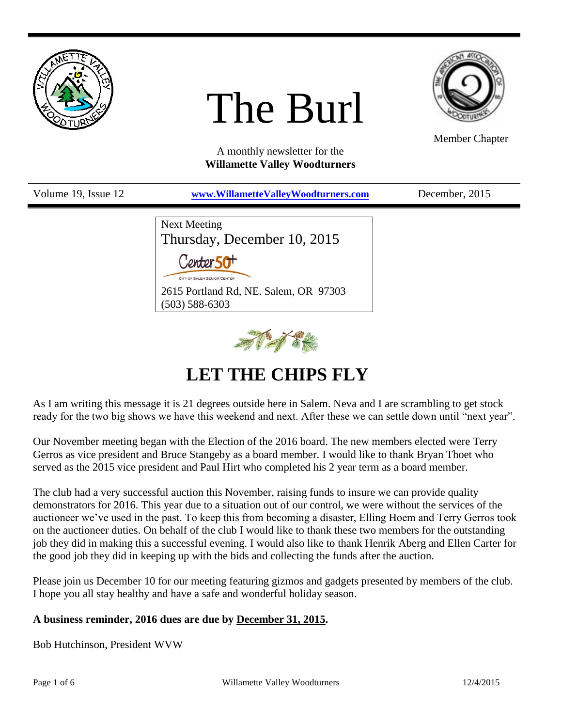

# The Burl



Member Chapter

A monthly newsletter for the **Willamette Valley Woodturners**

| Volume 19, Issue 12 | www.WillametteValleyWoodturners.com                                                                  | December, 2015 |
|---------------------|------------------------------------------------------------------------------------------------------|----------------|
|                     | Next Meeting<br>Thursday, December 10, 2015<br>Center 50 <sup>+</sup><br>CITY OF SALEM SENIOR CENTER |                |
|                     | 2615 Portland Rd, NE. Salem, OR 97303<br>$(503) 588 - 6303$                                          |                |



# **LET THE CHIPS FLY**

As I am writing this message it is 21 degrees outside here in Salem. Neva and I are scrambling to get stock ready for the two big shows we have this weekend and next. After these we can settle down until "next year".

Our November meeting began with the Election of the 2016 board. The new members elected were Terry Gerros as vice president and Bruce Stangeby as a board member. I would like to thank Bryan Thoet who served as the 2015 vice president and Paul Hirt who completed his 2 year term as a board member.

The club had a very successful auction this November, raising funds to insure we can provide quality demonstrators for 2016. This year due to a situation out of our control, we were without the services of the auctioneer we've used in the past. To keep this from becoming a disaster, Elling Hoem and Terry Gerros took on the auctioneer duties. On behalf of the club I would like to thank these two members for the outstanding job they did in making this a successful evening. I would also like to thank Henrik Aberg and Ellen Carter for the good job they did in keeping up with the bids and collecting the funds after the auction.

Please join us December 10 for our meeting featuring gizmos and gadgets presented by members of the club. I hope you all stay healthy and have a safe and wonderful holiday season.

#### **A business reminder, 2016 dues are due by December 31, 2015.**

Bob Hutchinson, President WVW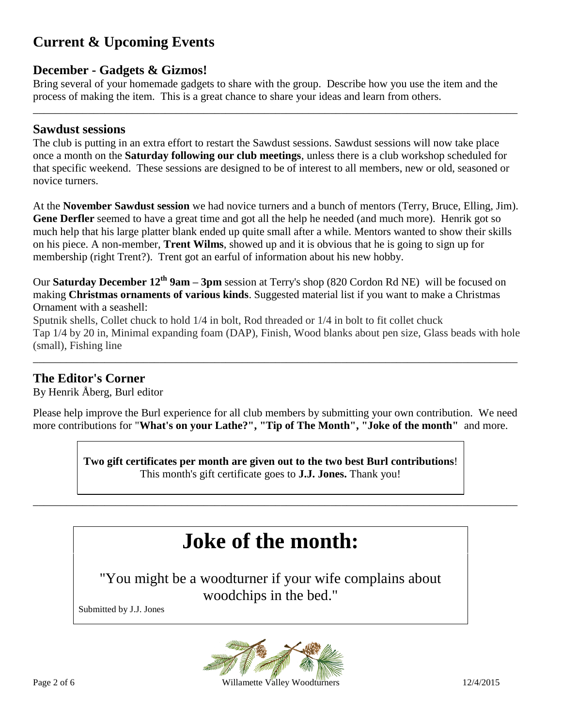## **Current & Upcoming Events**

#### **December - Gadgets & Gizmos!**

Bring several of your homemade gadgets to share with the group. Describe how you use the item and the process of making the item. This is a great chance to share your ideas and learn from others.

\_\_\_\_\_\_\_\_\_\_\_\_\_\_\_\_\_\_\_\_\_\_\_\_\_\_\_\_\_\_\_\_\_\_\_\_\_\_\_\_\_\_\_\_\_\_\_\_\_\_\_\_\_\_\_\_\_\_\_\_\_\_\_\_\_\_\_\_\_\_\_\_\_\_\_\_\_\_\_\_\_\_\_\_\_\_\_\_

#### **Sawdust sessions**

The club is putting in an extra effort to restart the Sawdust sessions. Sawdust sessions will now take place once a month on the **Saturday following our club meetings**, unless there is a club workshop scheduled for that specific weekend. These sessions are designed to be of interest to all members, new or old, seasoned or novice turners.

At the **November Sawdust session** we had novice turners and a bunch of mentors (Terry, Bruce, Elling, Jim). **Gene Derfler** seemed to have a great time and got all the help he needed (and much more). Henrik got so much help that his large platter blank ended up quite small after a while. Mentors wanted to show their skills on his piece. A non-member, **Trent Wilms**, showed up and it is obvious that he is going to sign up for membership (right Trent?). Trent got an earful of information about his new hobby.

Our **Saturday December 12th 9am – 3pm** session at Terry's shop (820 Cordon Rd NE) will be focused on making **Christmas ornaments of various kinds**. Suggested material list if you want to make a Christmas Ornament with a seashell:

Sputnik shells, Collet chuck to hold 1/4 in bolt, Rod threaded or 1/4 in bolt to fit collet chuck Tap 1/4 by 20 in, Minimal expanding foam (DAP), Finish, Wood blanks about pen size, Glass beads with hole (small), Fishing line

\_\_\_\_\_\_\_\_\_\_\_\_\_\_\_\_\_\_\_\_\_\_\_\_\_\_\_\_\_\_\_\_\_\_\_\_\_\_\_\_\_\_\_\_\_\_\_\_\_\_\_\_\_\_\_\_\_\_\_\_\_\_\_\_\_\_\_\_\_\_\_\_\_\_\_\_\_\_\_\_\_\_\_\_\_\_\_\_

#### **The Editor's Corner**

By Henrik Åberg, Burl editor

Please help improve the Burl experience for all club members by submitting your own contribution. We need more contributions for "**What's on your Lathe?", "Tip of The Month", "Joke of the month"** and more.

> **Two gift certificates per month are given out to the two best Burl contributions**! This month's gift certificate goes to **J.J. Jones.** Thank you!

# **Joke of the month:**

\_\_\_\_\_\_\_\_\_\_\_\_\_\_\_\_\_\_\_\_\_\_\_\_\_\_\_\_\_\_\_\_\_\_\_\_\_\_\_\_\_\_\_\_\_\_\_\_\_\_\_\_\_\_\_\_\_\_\_\_\_\_\_\_\_\_\_\_\_\_\_\_\_\_\_\_\_\_\_\_\_\_\_\_\_\_\_\_

"You might be a woodturner if your wife complains about woodchips in the bed."

Submitted by J.J. Jones



Page 2 of 6 **Willamette Valley Woodturners** 12/4/2015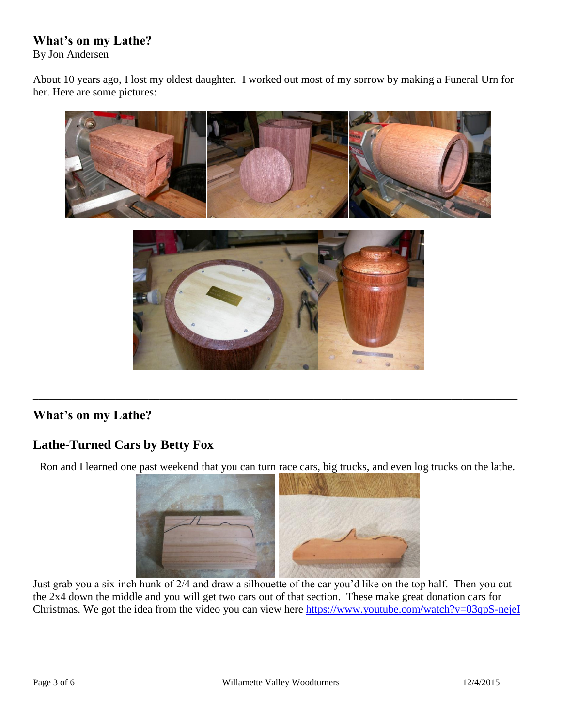### **What's on my Lathe?**

By Jon Andersen

About 10 years ago, I lost my oldest daughter. I worked out most of my sorrow by making a Funeral Urn for her. Here are some pictures:



## **What's on my Lathe?**

## **Lathe-Turned Cars by Betty Fox**

Ron and I learned one past weekend that you can turn race cars, big trucks, and even log trucks on the lathe.

\_\_\_\_\_\_\_\_\_\_\_\_\_\_\_\_\_\_\_\_\_\_\_\_\_\_\_\_\_\_\_\_\_\_\_\_\_\_\_\_\_\_\_\_\_\_\_\_\_\_\_\_\_\_\_\_\_\_\_\_\_\_\_\_\_\_\_\_\_\_\_\_\_\_\_\_\_\_\_\_\_\_\_\_\_\_\_\_



Just grab you a six inch hunk of 2/4 and draw a silhouette of the car you'd like on the top half. Then you cut the 2x4 down the middle and you will get two cars out of that section. These make great donation cars for Christmas. We got the idea from the video you can view here<https://www.youtube.com/watch?v=03qpS-nejeI>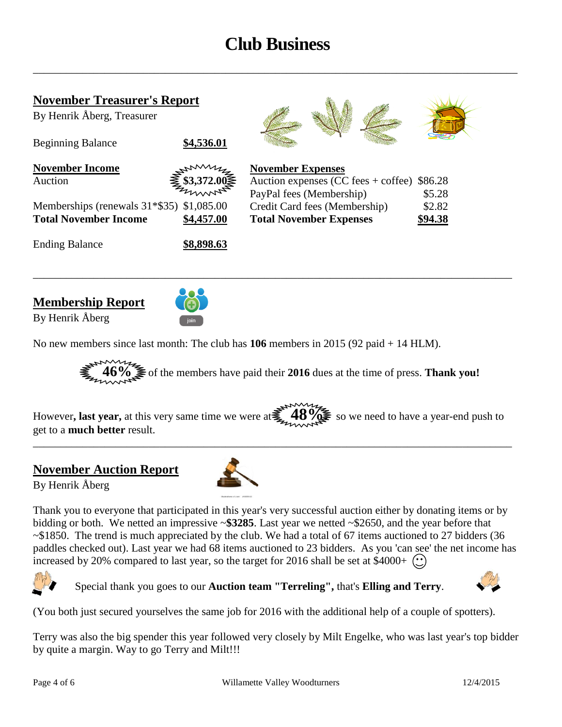# **Club Business**

\_\_\_\_\_\_\_\_\_\_\_\_\_\_\_\_\_\_\_\_\_\_\_\_\_\_\_\_\_\_\_\_\_\_\_\_\_\_\_\_\_\_\_\_\_\_\_\_\_\_\_\_\_\_\_\_\_\_\_\_\_\_\_\_\_\_\_\_\_\_\_\_\_\_\_\_\_\_\_\_\_\_\_\_\_\_\_\_

| <b>November Treasurer's Report</b><br>By Henrik Åberg, Treasurer |                                                                                                                                                                                                                                                                                                                                                     |                                                                                                  |                   |
|------------------------------------------------------------------|-----------------------------------------------------------------------------------------------------------------------------------------------------------------------------------------------------------------------------------------------------------------------------------------------------------------------------------------------------|--------------------------------------------------------------------------------------------------|-------------------|
| <b>Beginning Balance</b>                                         | \$4,536.01                                                                                                                                                                                                                                                                                                                                          |                                                                                                  |                   |
| <b>November Income</b><br>Auction                                | $\begin{array}{c}\n\sum_{i=1}^{n} \sum_{i=1}^{n} \sum_{i=1}^{n} \sum_{i=1}^{n} \sum_{i=1}^{n} \sum_{i=1}^{n} \sum_{i=1}^{n} \sum_{i=1}^{n} \sum_{i=1}^{n} \sum_{i=1}^{n} \sum_{i=1}^{n} \sum_{i=1}^{n} \sum_{i=1}^{n} \sum_{i=1}^{n} \sum_{i=1}^{n} \sum_{i=1}^{n} \sum_{i=1}^{n} \sum_{i=1}^{n} \sum_{i=1}^{n} \sum_{i=1}^{n} \sum_{i=1}^{n} \sum$ | <b>November Expenses</b><br>Auction expenses $(CC \, fees + coffee)$<br>PayPal fees (Membership) | \$86.28<br>\$5.28 |
| Memberships (renewals $31*$ \$35) \$1,085.00                     |                                                                                                                                                                                                                                                                                                                                                     | Credit Card fees (Membership)                                                                    | \$2.82            |
| <b>Total November Income</b>                                     | \$4,457.00                                                                                                                                                                                                                                                                                                                                          | <b>Total November Expenses</b>                                                                   | \$94.38           |
| <b>Ending Balance</b>                                            | \$8,898.63                                                                                                                                                                                                                                                                                                                                          |                                                                                                  |                   |

#### **Membership Report**

By Henrik Åberg



No new members since last month: The club has **106** members in 2015 (92 paid + 14 HLM).



However, last year, at this very same time we were at**tead.** 48%. So we need to have a year-end push to get to a **much better** result.

\_\_\_\_\_\_\_\_\_\_\_\_\_\_\_\_\_\_\_\_\_\_\_\_\_\_\_\_\_\_\_\_\_\_\_\_\_\_\_\_\_\_\_\_\_\_\_\_\_\_\_\_\_\_\_\_\_\_\_\_\_\_\_\_\_\_\_\_\_\_\_\_\_\_\_\_\_\_\_\_\_\_\_\_\_\_\_

#### **November Auction Report**

By Henrik Åberg



Thank you to everyone that participated in this year's very successful auction either by donating items or by bidding or both. We netted an impressive ~**\$3285**. Last year we netted ~\$2650, and the year before that ~\$1850. The trend is much appreciated by the club. We had a total of 67 items auctioned to 27 bidders (36 paddles checked out). Last year we had 68 items auctioned to 23 bidders. As you 'can see' the net income has increased by 20% compared to last year, so the target for 2016 shall be set at \$4000+  $\binom{1}{k}$ 



Special thank you goes to our **Auction team "Terreling",** that's **Elling and Terry**.



(You both just secured yourselves the same job for 2016 with the additional help of a couple of spotters).

Terry was also the big spender this year followed very closely by Milt Engelke, who was last year's top bidder by quite a margin. Way to go Terry and Milt!!!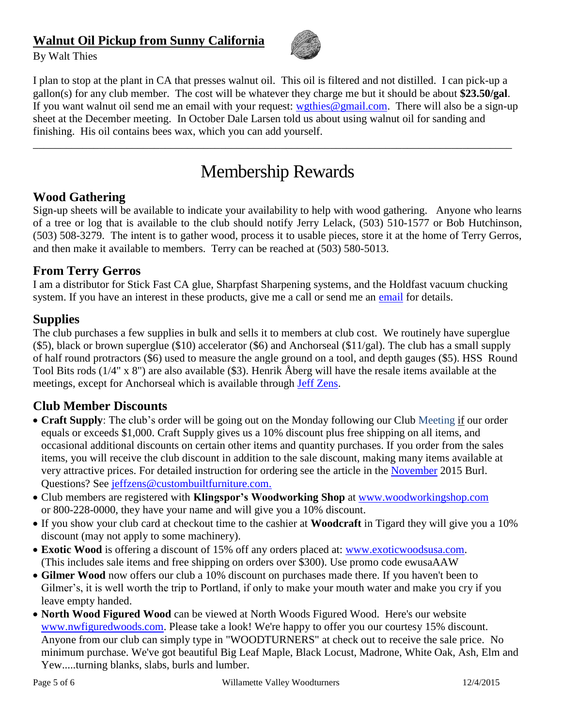## **Walnut Oil Pickup from Sunny California**



By Walt Thies

I plan to stop at the plant in CA that presses walnut oil. This oil is filtered and not distilled. I can pick-up a gallon(s) for any club member. The cost will be whatever they charge me but it should be about **\$23.50/gal**. If you want walnut oil send me an email with your request: [wgthies@gmail.com.](mailto:wgthies@gmail.com) There will also be a sign-up sheet at the December meeting. In October Dale Larsen told us about using walnut oil for sanding and finishing. His oil contains bees wax, which you can add yourself.

## Membership Rewards

\_\_\_\_\_\_\_\_\_\_\_\_\_\_\_\_\_\_\_\_\_\_\_\_\_\_\_\_\_\_\_\_\_\_\_\_\_\_\_\_\_\_\_\_\_\_\_\_\_\_\_\_\_\_\_\_\_\_\_\_\_\_\_\_\_\_\_\_\_\_\_\_\_\_\_\_\_\_\_\_\_\_\_\_\_\_\_

#### **Wood Gathering**

Sign-up sheets will be available to indicate your availability to help with wood gathering. Anyone who learns of a tree or log that is available to the club should notify Jerry Lelack, (503) 510-1577 or Bob Hutchinson, (503) 508-3279. The intent is to gather wood, process it to usable pieces, store it at the home of Terry Gerros, and then make it available to members. Terry can be reached at (503) 580-5013.

#### **From Terry Gerros**

I am a distributor for Stick Fast CA glue, Sharpfast Sharpening systems, and the Holdfast vacuum chucking system. If you have an interest in these products, give me a call or send me an [email](mailto:gerrost@yahoo.com) for details.

#### **Supplies**

The club purchases a few supplies in bulk and sells it to members at club cost. We routinely have superglue (\$5), black or brown superglue (\$10) accelerator (\$6) and Anchorseal (\$11/gal). The club has a small supply of half round protractors (\$6) used to measure the angle ground on a tool, and depth gauges (\$5). HSS Round Tool Bits rods (1/4" x 8") are also available (\$3). Henrik Åberg will have the resale items available at the meetings, except for Anchorseal which is available through [Jeff Zens.](mailto:jszens@custombuiltfurniture.com)

#### **Club Member Discounts**

- **Craft Supply**: The club's order will be going out on the Monday following our Club Meeting if our order equals or exceeds \$1,000. Craft Supply gives us a 10% discount plus free shipping on all items, and occasional additional discounts on certain other items and quantity purchases. If you order from the sales items, you will receive the club discount in addition to the sale discount, making many items available at very attractive prices. For detailed instruction for ordering see the article in the [November](http://www.willamettevalleywoodturners.com/newsletters/2015_11_WVW_Newsletter.pdf) 2015 Burl. Questions? See [jeffzens@custombuiltfurniture.com.](mailto:jeffzens@custombuiltfurniture.com.)
- Club members are registered with **Klingspor's Woodworking Shop** at [www.woodworkingshop.com](http://www.woodworkingshop.com/)  or 800-228-0000, they have your name and will give you a 10% discount.
- If you show your club card at checkout time to the cashier at **Woodcraft** in Tigard they will give you a 10% discount (may not apply to some machinery).
- **Exotic Wood** is offering a discount of 15% off any orders placed at: [www.exoticwoodsusa.com.](http://www.exoticwoodsusa.com/) (This includes sale items and free shipping on orders over \$300). Use promo code ewusaAAW
- **Gilmer Wood** now offers our club a 10% discount on purchases made there. If you haven't been to Gilmer's, it is well worth the trip to Portland, if only to make your mouth water and make you cry if you leave empty handed.
- **North Wood Figured Wood** can be viewed at North Woods Figured Wood. Here's our website [www.nwfiguredwoods.com.](http://www.nwfiguredwoods.com/) Please take a look! We're happy to offer you our courtesy 15% discount. Anyone from our club can simply type in "WOODTURNERS" at check out to receive the sale price. No minimum purchase. We've got beautiful Big Leaf Maple, Black Locust, Madrone, White Oak, Ash, Elm and Yew.....turning blanks, slabs, burls and lumber.